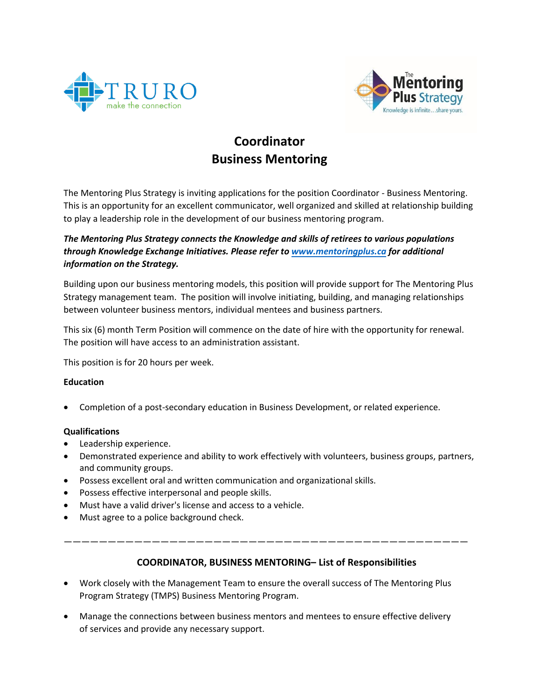



# **Coordinator Business Mentoring**

The Mentoring Plus Strategy is inviting applications for the position Coordinator - Business Mentoring. This is an opportunity for an excellent communicator, well organized and skilled at relationship building to play a leadership role in the development of our business mentoring program.

# *The Mentoring Plus Strategy connects the Knowledge and skills of retirees to various populations through Knowledge Exchange Initiatives. Please refer to [www.mentoringplus.ca](http://www.mentoringplus.ca/) for additional information on the Strategy.*

Building upon our business mentoring models, this position will provide support for The Mentoring Plus Strategy management team. The position will involve initiating, building, and managing relationships between volunteer business mentors, individual mentees and business partners.

This six (6) month Term Position will commence on the date of hire with the opportunity for renewal. The position will have access to an administration assistant.

This position is for 20 hours per week.

### **Education**

• Completion of a post-secondary education in Business Development, or related experience.

#### **Qualifications**

- Leadership experience.
- Demonstrated experience and ability to work effectively with volunteers, business groups, partners, and community groups.
- Possess excellent oral and written communication and organizational skills.
- Possess effective interpersonal and people skills.
- Must have a valid driver's license and access to a vehicle.
- Must agree to a police background check.

——————————————————————————————————————————————

# **COORDINATOR, BUSINESS MENTORING– List of Responsibilities**

- Work closely with the Management Team to ensure the overall success of The Mentoring Plus Program Strategy (TMPS) Business Mentoring Program.
- Manage the connections between business mentors and mentees to ensure effective delivery of services and provide any necessary support.